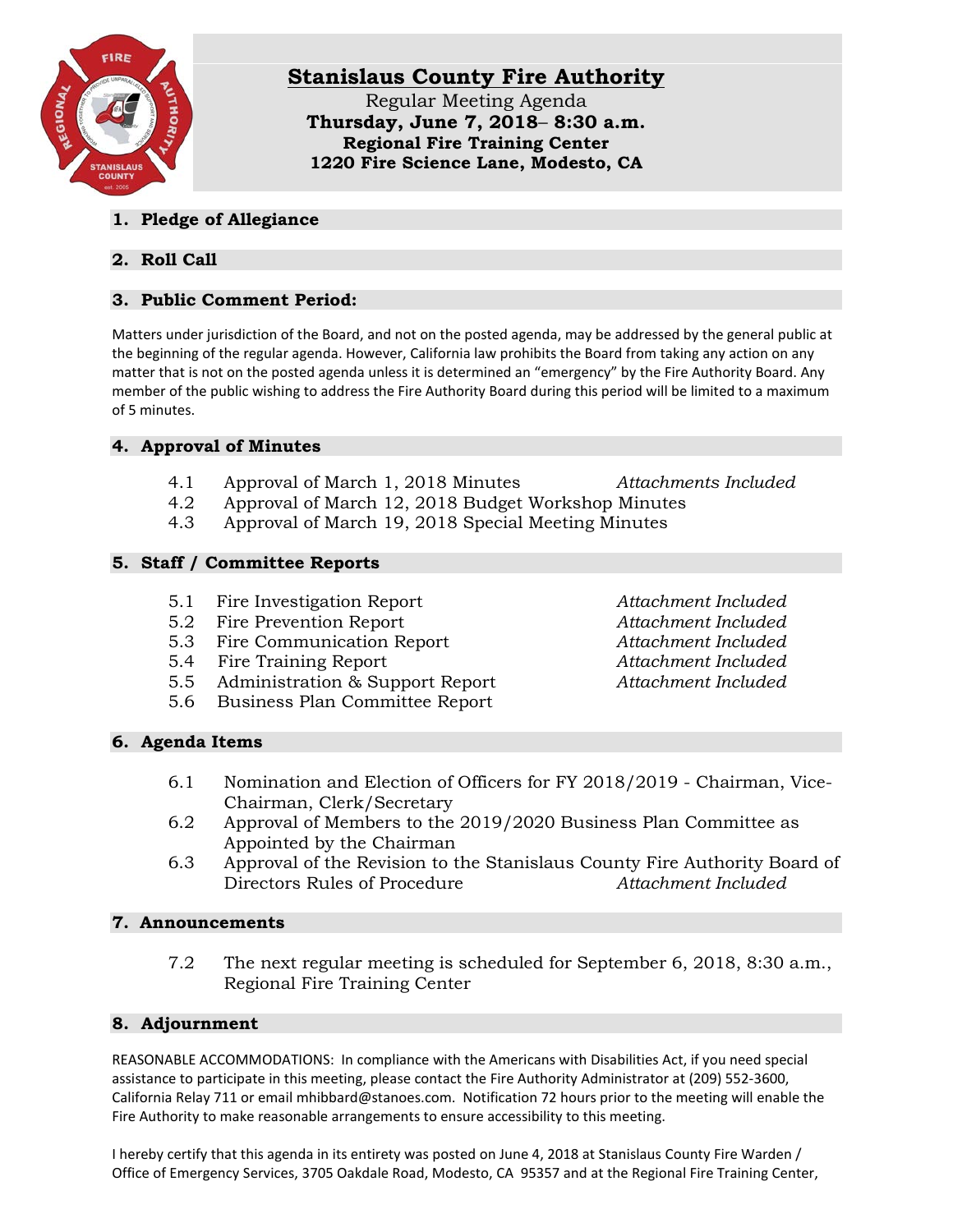

# **Stanislaus County Fire Authority**

Regular Meeting Agenda **Thursday, June 7, 2018**– **8:30 a.m. Regional Fire Training Center 1220 Fire Science Lane, Modesto, CA**

#### **1. Pledge of Allegiance**

## **2. Roll Call**

## **3. Public Comment Period:**

Matters under jurisdiction of the Board, and not on the posted agenda, may be addressed by the general public at the beginning of the regular agenda. However, California law prohibits the Board from taking any action on any matter that is not on the posted agenda unless it is determined an "emergency" by the Fire Authority Board. Any member of the public wishing to address the Fire Authority Board during this period will be limited to a maximum of 5 minutes.

### **4. Approval of Minutes**

- 4.1 Approval of March 1, 2018 Minutes *Attachments Included*
- 4.2 Approval of March 12, 2018 Budget Workshop Minutes
- 4.3 Approval of March 19, 2018 Special Meeting Minutes

### **5. Staff / Committee Reports**

- 5.1 Fire Investigation Report *Attachment Included*
- 5.2 Fire Prevention Report *Attachment Included*
- 5.3 Fire Communication Report *Attachment Included*
- 5.4 Fire Training Report *Attachment Included*
- 5.5 Administration & Support Report *Attachment Included*
- 5.6 Business Plan Committee Report

### **6. Agenda Items**

- 6.1 Nomination and Election of Officers for FY 2018/2019 Chairman, Vice-Chairman, Clerk/Secretary
- 6.2 Approval of Members to the 2019/2020 Business Plan Committee as Appointed by the Chairman
- 6.3 Approval of the Revision to the Stanislaus County Fire Authority Board of Directors Rules of Procedure *Attachment Included*

#### **7. Announcements**

7.2 The next regular meeting is scheduled for September 6, 2018, 8:30 a.m., Regional Fire Training Center

### **8. Adjournment**

REASONABLE ACCOMMODATIONS: In compliance with the Americans with Disabilities Act, if you need special assistance to participate in this meeting, please contact the Fire Authority Administrator at (209) 552-3600, California Relay 711 or email mhibbard@stanoes.com. Notification 72 hours prior to the meeting will enable the Fire Authority to make reasonable arrangements to ensure accessibility to this meeting.

I hereby certify that this agenda in its entirety was posted on June 4, 2018 at Stanislaus County Fire Warden / Office of Emergency Services, 3705 Oakdale Road, Modesto, CA 95357 and at the Regional Fire Training Center,